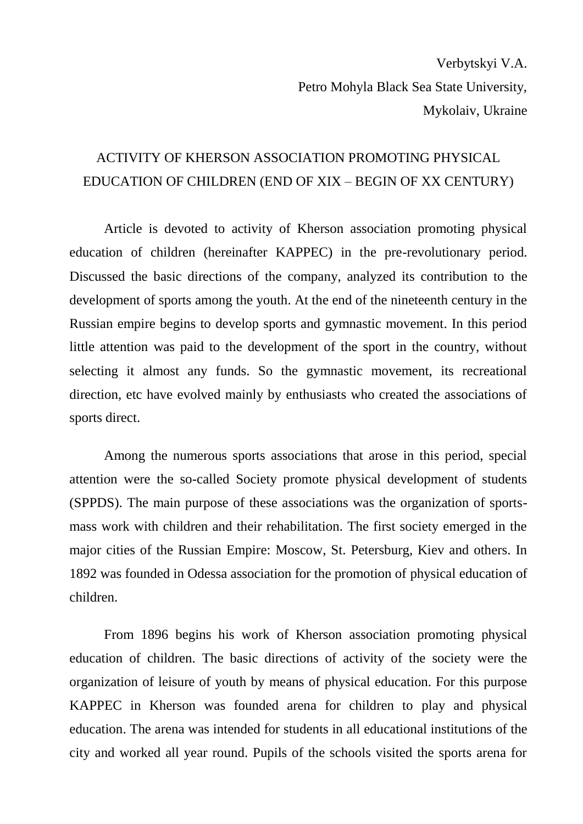Verbytskyi V.A. Petro Mohyla Black Sea State University, Mykolaiv, Ukraine

## ACTIVITY OF KHERSON ASSOCIATION PROMOTING PHYSICAL EDUCATION OF CHILDREN (END OF XIX – BEGIN OF XX CENTURY)

Article is devoted to activity of Kherson association promoting physical education of children (hereinafter KAPPEC) in the pre-revolutionary period. Discussed the basic directions of the company, analyzed its contribution to the development of sports among the youth. At the end of the nineteenth century in the Russian empire begins to develop sports and gymnastic movement. In this period little attention was paid to the development of the sport in the country, without selecting it almost any funds. So the gymnastic movement, its recreational direction, etc have evolved mainly by enthusiasts who created the associations of sports direct.

Among the numerous sports associations that arose in this period, special attention were the so-called Society promote physical development of students (SPPDS). The main purpose of these associations was the organization of sportsmass work with children and their rehabilitation. The first society emerged in the major cities of the Russian Empire: Moscow, St. Petersburg, Kiev and others. In 1892 was founded in Odessa association for the promotion of physical education of children.

From 1896 begins his work of Kherson association promoting physical education of children. The basic directions of activity of the society were the organization of leisure of youth by means of physical education. For this purpose KAPPEC in Kherson was founded arena for children to play and physical education. The arena was intended for students in all educational institutions of the city and worked all year round. Pupils of the schools visited the sports arena for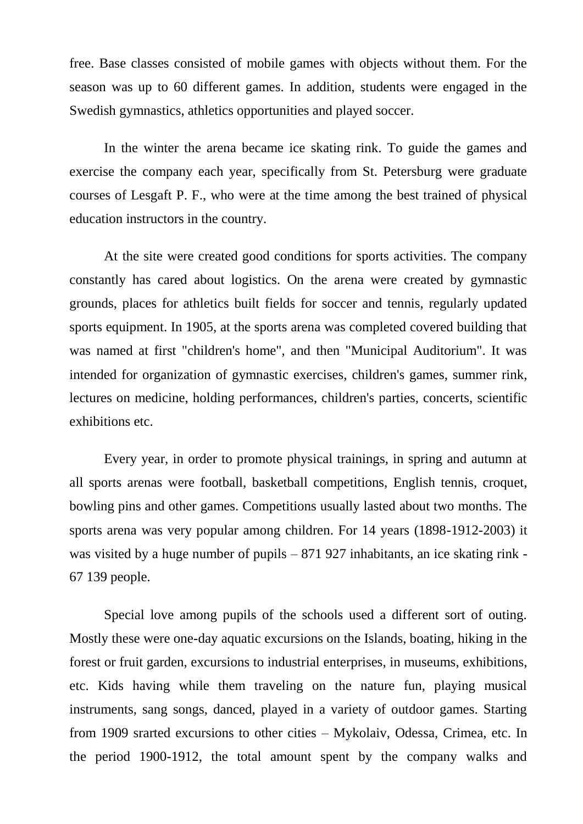free. Base classes consisted of mobile games with objects without them. For the season was up to 60 different games. In addition, students were engaged in the Swedish gymnastics, athletics opportunities and played soccer.

In the winter the arena became ice skating rink. To guide the games and exercise the company each year, specifically from St. Petersburg were graduate courses of Lesgaft P. F., who were at the time among the best trained of physical education instructors in the country.

At the site were created good conditions for sports activities. The company constantly has cared about logistics. On the arena were created by gymnastic grounds, places for athletics built fields for soccer and tennis, regularly updated sports equipment. In 1905, at the sports arena was completed covered building that was named at first "children's home", and then "Municipal Auditorium". It was intended for organization of gymnastic exercises, children's games, summer rink, lectures on medicine, holding performances, children's parties, concerts, scientific exhibitions etc.

Every year, in order to promote physical trainings, in spring and autumn at all sports arenas were football, basketball competitions, English tennis, croquet, bowling pins and other games. Competitions usually lasted about two months. The sports arena was very popular among children. For 14 years (1898-1912-2003) it was visited by a huge number of pupils – 871 927 inhabitants, an ice skating rink - 67 139 people.

Special love among pupils of the schools used a different sort of outing. Mostly these were one-day aquatic excursions on the Islands, boating, hiking in the forest or fruit garden, excursions to industrial enterprises, in museums, exhibitions, etc. Kids having while them traveling on the nature fun, playing musical instruments, sang songs, danced, played in a variety of outdoor games. Starting from 1909 srarted excursions to other cities – Mykolaiv, Odessa, Crimea, etc. In the period 1900-1912, the total amount spent by the company walks and